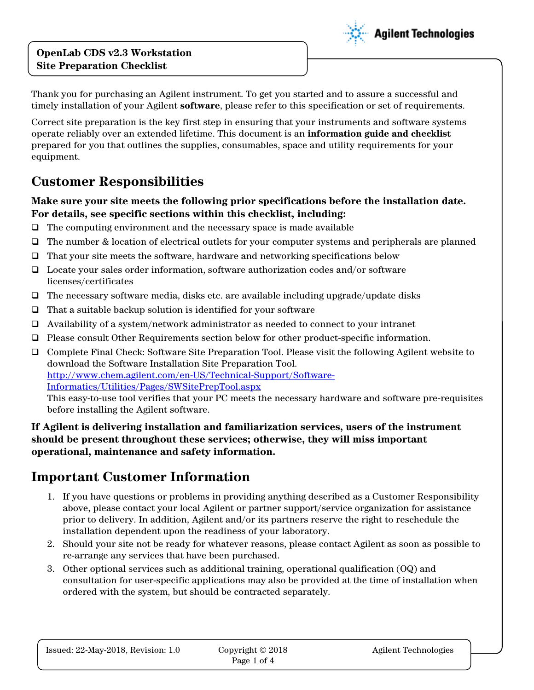#### **OpenLab CDS v2.3 Workstation Site Preparation Checklist**



Thank you for purchasing an Agilent instrument. To get you started and to assure a successful and timely installation of your Agilent **software**, please refer to this specification or set of requirements.

Correct site preparation is the key first step in ensuring that your instruments and software systems operate reliably over an extended lifetime. This document is an **information guide and checklist** prepared for you that outlines the supplies, consumables, space and utility requirements for your equipment.

### **Customer Responsibilities**

#### **Make sure your site meets the following prior specifications before the installation date. For details, see specific sections within this checklist, including:**

- $\Box$  The computing environment and the necessary space is made available
- The number & location of electrical outlets for your computer systems and peripherals are planned
- $\Box$  That your site meets the software, hardware and networking specifications below
- $\Box$  Locate your sales order information, software authorization codes and/or software licenses/certificates
- $\Box$  The necessary software media, disks etc. are available including upgrade/update disks
- $\Box$  That a suitable backup solution is identified for your software
- $\Box$  Availability of a system/network administrator as needed to connect to your intranet
- Please consult Other Requirements section below for other product-specific information.
- Complete Final Check: Software Site Preparation Tool. Please visit the following Agilent website to download the Software Installation Site Preparation Tool. [http://www.chem.agilent.com/en-US/Technical-Support/Software-](http://www.chem.agilent.com/en-US/Technical-Support/Software-Informatics/Utilities/Pages/SWSitePrepTool.aspx)[Informatics/Utilities/Pages/SWSitePrepTool.aspx](http://www.chem.agilent.com/en-US/Technical-Support/Software-Informatics/Utilities/Pages/SWSitePrepTool.aspx) This easy-to-use tool verifies that your PC meets the necessary hardware and software pre-requisites

before installing the Agilent software.

#### **If Agilent is delivering installation and familiarization services, users of the instrument should be present throughout these services; otherwise, they will miss important operational, maintenance and safety information.**

### **Important Customer Information**

- 1. If you have questions or problems in providing anything described as a Customer Responsibility above, please contact your local Agilent or partner support/service organization for assistance prior to delivery. In addition, Agilent and/or its partners reserve the right to reschedule the installation dependent upon the readiness of your laboratory.
- 2. Should your site not be ready for whatever reasons, please contact Agilent as soon as possible to re-arrange any services that have been purchased.
- 3. Other optional services such as additional training, operational qualification (OQ) and consultation for user-specific applications may also be provided at the time of installation when ordered with the system, but should be contracted separately.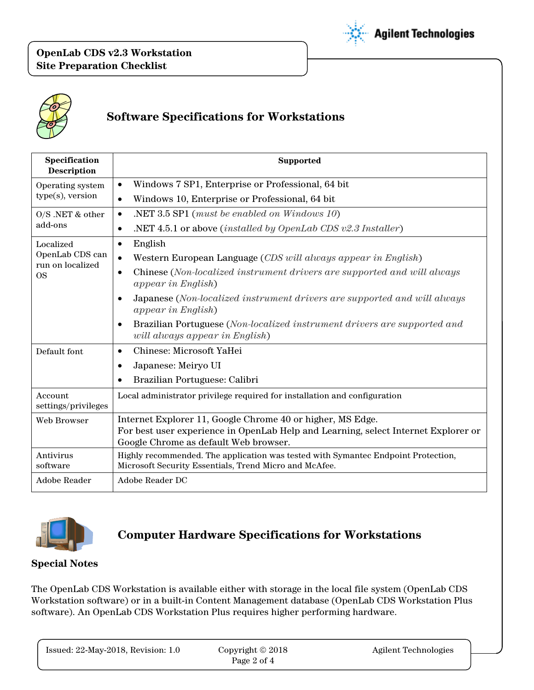



## **Software Specifications for Workstations**

| Specification<br><b>Description</b> | <b>Supported</b>                                                                                                                            |  |
|-------------------------------------|---------------------------------------------------------------------------------------------------------------------------------------------|--|
| Operating system                    | Windows 7 SP1, Enterprise or Professional, 64 bit<br>$\bullet$                                                                              |  |
| $type(s)$ , version                 | Windows 10, Enterprise or Professional, 64 bit<br>$\bullet$                                                                                 |  |
| $O/S$ .NET & other                  | NET 3.5 SP1 (must be enabled on Windows 10).<br>$\bullet$                                                                                   |  |
| add-ons                             | .NET 4.5.1 or above <i>(installed by OpenLab CDS v2.3 Installer)</i><br>$\bullet$                                                           |  |
| Localized                           | English<br>$\bullet$                                                                                                                        |  |
| OpenLab CDS can<br>run on localized | Western European Language (CDS will always appear in English)<br>$\bullet$                                                                  |  |
| <b>OS</b>                           | Chinese (Non-localized instrument drivers are supported and will always<br>$\bullet$<br><i>appear in English</i> )                          |  |
|                                     | Japanese (Non-localized instrument drivers are supported and will always<br>$\bullet$<br><i>appear in English</i> )                         |  |
|                                     | Brazilian Portuguese (Non-localized instrument drivers are supported and<br>$\bullet$<br>will always appear in English)                     |  |
| Default font                        | Chinese: Microsoft YaHei<br>$\bullet$                                                                                                       |  |
|                                     | Japanese: Meiryo UI<br>$\bullet$                                                                                                            |  |
|                                     | Brazilian Portuguese: Calibri<br>$\bullet$                                                                                                  |  |
| Account<br>settings/privileges      | Local administrator privilege required for installation and configuration                                                                   |  |
| Web Browser                         | Internet Explorer 11, Google Chrome 40 or higher, MS Edge.                                                                                  |  |
|                                     | For best user experience in OpenLab Help and Learning, select Internet Explorer or<br>Google Chrome as default Web browser.                 |  |
| Antivirus<br>software               | Highly recommended. The application was tested with Symantec Endpoint Protection,<br>Microsoft Security Essentials, Trend Micro and McAfee. |  |
| Adobe Reader                        | Adobe Reader DC                                                                                                                             |  |



### **Computer Hardware Specifications for Workstations**

#### **Special Notes**

The OpenLab CDS Workstation is available either with storage in the local file system (OpenLab CDS Workstation software) or in a built-in Content Management database (OpenLab CDS Workstation Plus software). An OpenLab CDS Workstation Plus requires higher performing hardware.

| Issued: 22-May-2018, Revision: 1.0 | Copyright $\odot$ 2018 | <b>Agilent Technologies</b> |
|------------------------------------|------------------------|-----------------------------|
|                                    | Page 2 of 4            |                             |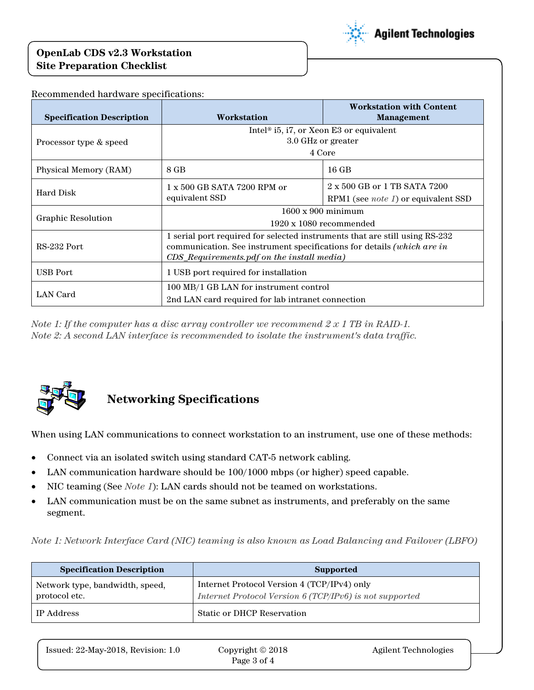#### **OpenLab CDS v2.3 Workstation Site Preparation Checklist**



| <b>Specification Description</b> | Workstation                                                                                                                                                                                         | <b>Workstation with Content</b><br>Management                                      |  |
|----------------------------------|-----------------------------------------------------------------------------------------------------------------------------------------------------------------------------------------------------|------------------------------------------------------------------------------------|--|
| Processor type & speed           | Intel <sup>®</sup> i5, i7, or Xeon E3 or equivalent<br>3.0 GHz or greater<br>4 Core                                                                                                                 |                                                                                    |  |
| Physical Memory (RAM)            | 8 GB                                                                                                                                                                                                | $16$ GB                                                                            |  |
| Hard Disk                        | $1 \times 500$ GB SATA 7200 RPM or<br>equivalent SSD                                                                                                                                                | $2 \times 500$ GB or 1 TB SATA 7200<br>RPM1 (see <i>note 1</i> ) or equivalent SSD |  |
| <b>Graphic Resolution</b>        | $1600 \times 900$ minimum<br>$1920 \times 1080$ recommended                                                                                                                                         |                                                                                    |  |
| RS-232 Port                      | 1 serial port required for selected instruments that are still using RS-232<br>communication. See instrument specifications for details (which are in<br>CDS_Requirements.pdf on the install media) |                                                                                    |  |
| <b>USB</b> Port                  | 1 USB port required for installation                                                                                                                                                                |                                                                                    |  |
| LAN Card                         | 100 MB/1 GB LAN for instrument control<br>2nd LAN card required for lab intranet connection                                                                                                         |                                                                                    |  |

Recommended hardware specifications:

*Note 1: If the computer has a disc array controller we recommend 2 x 1 TB in RAID-1. Note 2: A second LAN interface is recommended to isolate the instrument's data traffic.*



# **Networking Specifications**

When using LAN communications to connect workstation to an instrument, use one of these methods:

- Connect via an isolated switch using standard CAT-5 network cabling.
- LAN communication hardware should be 100/1000 mbps (or higher) speed capable.
- NIC teaming (See *Note 1*): LAN cards should not be teamed on workstations.
- LAN communication must be on the same subnet as instruments, and preferably on the same segment.

*Note 1: Network Interface Card (NIC) teaming is also known as Load Balancing and Failover (LBFO)*

| <b>Specification Description</b>                 | <b>Supported</b>                                                                                       |  |
|--------------------------------------------------|--------------------------------------------------------------------------------------------------------|--|
| Network type, bandwidth, speed,<br>protocol etc. | Internet Protocol Version 4 (TCP/IPv4) only<br>Internet Protocol Version 6 (TCP/IPv6) is not supported |  |
| IP Address                                       | Static or DHCP Reservation                                                                             |  |

| Issued: 22-May-2018, Revision: 1.0 | Copyright $\odot$ 2018 | Agilent Technologies |
|------------------------------------|------------------------|----------------------|
|                                    | Page 3 of 4            |                      |